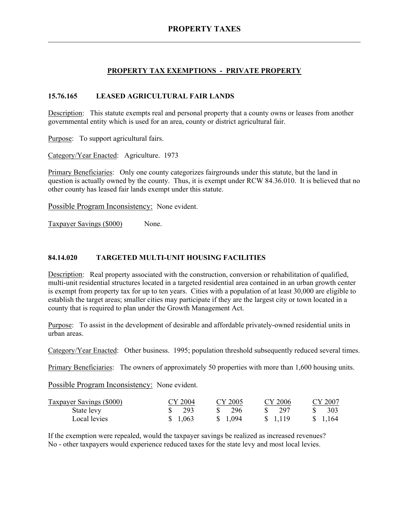## **PROPERTY TAX EXEMPTIONS - PRIVATE PROPERTY**

#### **15.76.165 LEASED AGRICULTURAL FAIR LANDS**

Description: This statute exempts real and personal property that a county owns or leases from another governmental entity which is used for an area, county or district agricultural fair.

Purpose: To support agricultural fairs.

Category/Year Enacted: Agriculture. 1973

Primary Beneficiaries: Only one county categorizes fairgrounds under this statute, but the land in question is actually owned by the county. Thus, it is exempt under RCW 84.36.010. It is believed that no other county has leased fair lands exempt under this statute.

Possible Program Inconsistency: None evident.

Taxpayer Savings (\$000) None.

#### **84.14.020 TARGETED MULTI-UNIT HOUSING FACILITIES**

Description: Real property associated with the construction, conversion or rehabilitation of qualified, multi-unit residential structures located in a targeted residential area contained in an urban growth center is exempt from property tax for up to ten years. Cities with a population of at least 30,000 are eligible to establish the target areas; smaller cities may participate if they are the largest city or town located in a county that is required to plan under the Growth Management Act.

Purpose: To assist in the development of desirable and affordable privately-owned residential units in urban areas.

Category/Year Enacted: Other business. 1995; population threshold subsequently reduced several times.

Primary Beneficiaries: The owners of approximately 50 properties with more than 1,600 housing units.

Possible Program Inconsistency: None evident.

| <b>Taxpayer Savings (\$000)</b> | CY 2004                         | CY 2005          | CY 2006  | CY 2007  |
|---------------------------------|---------------------------------|------------------|----------|----------|
| State levy                      | $\frac{\text{S}}{\text{S}}$ 293 | $\frac{\$}{296}$ | \$ 297   | -303     |
| Local levies                    | \$1,063                         | \$ 1.094         | \$ 1.119 | \$ 1,164 |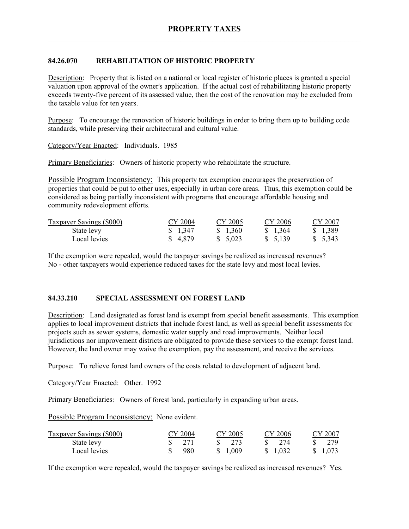## **84.26.070 REHABILITATION OF HISTORIC PROPERTY**

Description: Property that is listed on a national or local register of historic places is granted a special valuation upon approval of the owner's application. If the actual cost of rehabilitating historic property exceeds twenty-five percent of its assessed value, then the cost of the renovation may be excluded from the taxable value for ten years.

Purpose: To encourage the renovation of historic buildings in order to bring them up to building code standards, while preserving their architectural and cultural value.

Category/Year Enacted: Individuals. 1985

Primary Beneficiaries: Owners of historic property who rehabilitate the structure.

Possible Program Inconsistency: This property tax exemption encourages the preservation of properties that could be put to other uses, especially in urban core areas. Thus, this exemption could be considered as being partially inconsistent with programs that encourage affordable housing and community redevelopment efforts.

| <b>Taxpayer Savings (\$000)</b> | CY 2004  | CY 2005  | CY 2006 | CY 2007  |
|---------------------------------|----------|----------|---------|----------|
| State levy                      | \$1,347  | \$ 1.360 | \$1,364 | \$ 1,389 |
| Local levies                    | \$ 4,879 | \$5.023  | \$5,139 | \$ 5,343 |

If the exemption were repealed, would the taxpayer savings be realized as increased revenues? No - other taxpayers would experience reduced taxes for the state levy and most local levies.

#### **84.33.210 SPECIAL ASSESSMENT ON FOREST LAND**

Description: Land designated as forest land is exempt from special benefit assessments. This exemption applies to local improvement districts that include forest land, as well as special benefit assessments for projects such as sewer systems, domestic water supply and road improvements. Neither local jurisdictions nor improvement districts are obligated to provide these services to the exempt forest land. However, the land owner may waive the exemption, pay the assessment, and receive the services.

Purpose: To relieve forest land owners of the costs related to development of adjacent land.

Category/Year Enacted: Other. 1992

Primary Beneficiaries: Owners of forest land, particularly in expanding urban areas.

Possible Program Inconsistency: None evident.

| <b>Taxpayer Savings (\$000)</b> | CY 2004 | CY 2005         | CY 2006        | CY 2007  |
|---------------------------------|---------|-----------------|----------------|----------|
| State levy                      | \$ 271  | $\frac{1}{273}$ | $\sqrt{3}$ 274 | - 279    |
| Local levies                    | 980     | \$ 1.009        | \$ 1.032       | \$ 1,073 |

If the exemption were repealed, would the taxpayer savings be realized as increased revenues? Yes.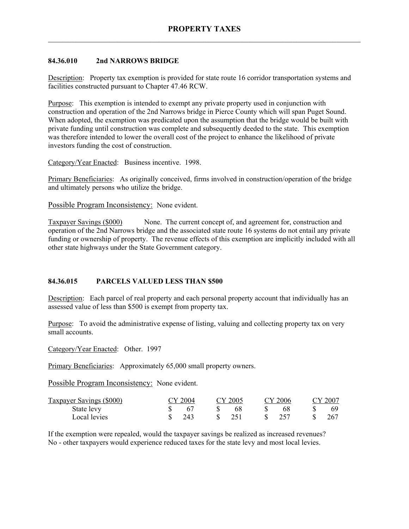### **84.36.010 2nd NARROWS BRIDGE**

Description: Property tax exemption is provided for state route 16 corridor transportation systems and facilities constructed pursuant to Chapter 47.46 RCW.

Purpose: This exemption is intended to exempt any private property used in conjunction with construction and operation of the 2nd Narrows bridge in Pierce County which will span Puget Sound. When adopted, the exemption was predicated upon the assumption that the bridge would be built with private funding until construction was complete and subsequently deeded to the state. This exemption was therefore intended to lower the overall cost of the project to enhance the likelihood of private investors funding the cost of construction.

Category/Year Enacted: Business incentive. 1998.

Primary Beneficiaries: As originally conceived, firms involved in construction/operation of the bridge and ultimately persons who utilize the bridge.

Possible Program Inconsistency: None evident.

Taxpayer Savings (\$000) None. The current concept of, and agreement for, construction and operation of the 2nd Narrows bridge and the associated state route 16 systems do not entail any private funding or ownership of property. The revenue effects of this exemption are implicitly included with all other state highways under the State Government category.

# **84.36.015 PARCELS VALUED LESS THAN \$500**

Description: Each parcel of real property and each personal property account that individually has an assessed value of less than \$500 is exempt from property tax.

Purpose: To avoid the administrative expense of listing, valuing and collecting property tax on very small accounts.

Category/Year Enacted: Other. 1997

Primary Beneficiaries: Approximately 65,000 small property owners.

Possible Program Inconsistency: None evident.

| Taxpayer Savings (\$000) | CY 2004 | CY 2005 |      | CY 2006 | CY 2007 |
|--------------------------|---------|---------|------|---------|---------|
| State levy               |         |         |      |         | 69.     |
| Local levies             | 243     | 251     | -SS- | 257     | -267    |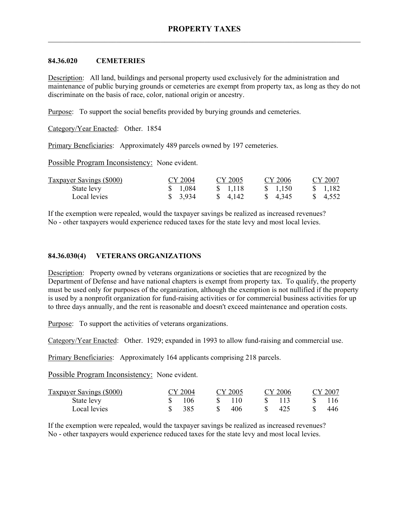#### **84.36.020 CEMETERIES**

Description: All land, buildings and personal property used exclusively for the administration and maintenance of public burying grounds or cemeteries are exempt from property tax, as long as they do not discriminate on the basis of race, color, national origin or ancestry.

Purpose: To support the social benefits provided by burying grounds and cemeteries.

Category/Year Enacted: Other. 1854

Primary Beneficiaries: Approximately 489 parcels owned by 197 cemeteries.

Possible Program Inconsistency: None evident.

| <b>Taxpayer Savings (\$000)</b> | CY 2004               | CY 2005  | CY 2006  | CY 2007  |
|---------------------------------|-----------------------|----------|----------|----------|
| State levy                      | \$1,084               | \$ 1.118 | \$ 1.150 | \$ 1.182 |
| Local levies                    | $\frac{1}{2}$ , 3,934 | \$ 4.142 | \$ 4,345 | \$ 4.552 |

If the exemption were repealed, would the taxpayer savings be realized as increased revenues? No - other taxpayers would experience reduced taxes for the state levy and most local levies.

#### **84.36.030(4) VETERANS ORGANIZATIONS**

Description: Property owned by veterans organizations or societies that are recognized by the Department of Defense and have national chapters is exempt from property tax. To qualify, the property must be used only for purposes of the organization, although the exemption is not nullified if the property is used by a nonprofit organization for fund-raising activities or for commercial business activities for up to three days annually, and the rent is reasonable and doesn't exceed maintenance and operation costs.

Purpose: To support the activities of veterans organizations.

Category/Year Enacted: Other. 1929; expanded in 1993 to allow fund-raising and commercial use.

Primary Beneficiaries: Approximately 164 applicants comprising 218 parcels.

Possible Program Inconsistency: None evident.

| Taxpayer Savings (\$000) | CY 2004 |     | CY 2005 | CY 2006 | CY 2007 |
|--------------------------|---------|-----|---------|---------|---------|
| State levy               | 106     |     | 110     |         |         |
| Local levies             | 385     | SS. | 406     | 425     | 446     |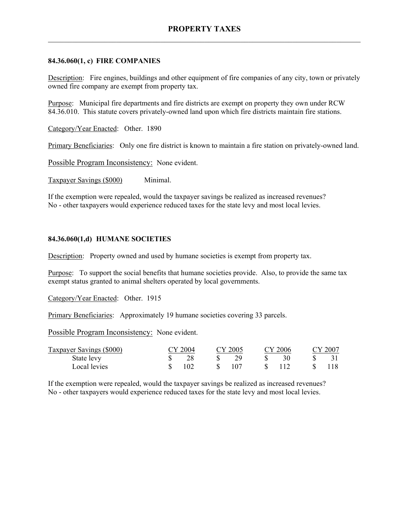### **84.36.060(1, c) FIRE COMPANIES**

Description: Fire engines, buildings and other equipment of fire companies of any city, town or privately owned fire company are exempt from property tax.

Purpose: Municipal fire departments and fire districts are exempt on property they own under RCW 84.36.010. This statute covers privately-owned land upon which fire districts maintain fire stations.

Category/Year Enacted: Other. 1890

Primary Beneficiaries: Only one fire district is known to maintain a fire station on privately-owned land.

Possible Program Inconsistency: None evident.

Taxpayer Savings (\$000) Minimal.

If the exemption were repealed, would the taxpayer savings be realized as increased revenues? No - other taxpayers would experience reduced taxes for the state levy and most local levies.

#### **84.36.060(1,d) HUMANE SOCIETIES**

Description: Property owned and used by humane societies is exempt from property tax.

Purpose: To support the social benefits that humane societies provide. Also, to provide the same tax exempt status granted to animal shelters operated by local governments.

Category/Year Enacted: Other. 1915

Primary Beneficiaries: Approximately 19 humane societies covering 33 parcels.

Possible Program Inconsistency: None evident.

| Taxpayer Savings (\$000) | CY 2004 | CY 2005 | CY 2006 | CY 2007 |
|--------------------------|---------|---------|---------|---------|
| State levy               |         |         |         |         |
| Local levies             | 102     | 107     | 112     |         |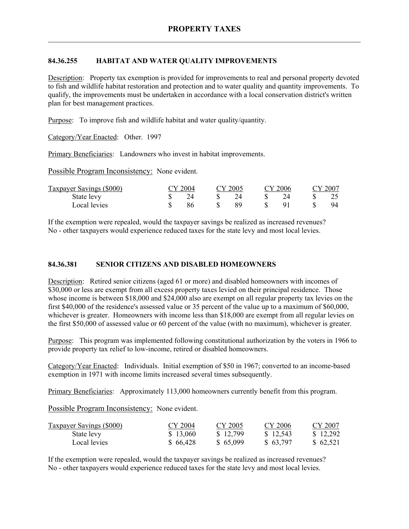# **84.36.255 HABITAT AND WATER QUALITY IMPROVEMENTS**

Description: Property tax exemption is provided for improvements to real and personal property devoted to fish and wildlife habitat restoration and protection and to water quality and quantity improvements. To qualify, the improvements must be undertaken in accordance with a local conservation district's written plan for best management practices.

Purpose: To improve fish and wildlife habitat and water quality/quantity.

Category/Year Enacted: Other. 1997

Primary Beneficiaries: Landowners who invest in habitat improvements.

Possible Program Inconsistency: None evident.

| Taxpayer Savings (\$000) | CY 2004 | CY 2005 | CY 2006 | CY 2007 |
|--------------------------|---------|---------|---------|---------|
| State levy               | 7Δ      |         |         |         |
| Local levies             |         |         |         | 94      |

If the exemption were repealed, would the taxpayer savings be realized as increased revenues? No - other taxpayers would experience reduced taxes for the state levy and most local levies.

### **84.36.381 SENIOR CITIZENS AND DISABLED HOMEOWNERS**

Description: Retired senior citizens (aged 61 or more) and disabled homeowners with incomes of \$30,000 or less are exempt from all excess property taxes levied on their principal residence. Those whose income is between \$18,000 and \$24,000 also are exempt on all regular property tax levies on the first \$40,000 of the residence's assessed value or 35 percent of the value up to a maximum of \$60,000, whichever is greater. Homeowners with income less than \$18,000 are exempt from all regular levies on the first \$50,000 of assessed value or 60 percent of the value (with no maximum), whichever is greater.

Purpose: This program was implemented following constitutional authorization by the voters in 1966 to provide property tax relief to low-income, retired or disabled homeowners.

Category/Year Enacted: Individuals. Initial exemption of \$50 in 1967; converted to an income-based exemption in 1971 with income limits increased several times subsequently.

Primary Beneficiaries: Approximately 113,000 homeowners currently benefit from this program.

Possible Program Inconsistency: None evident.

| <b>Taxpayer Savings (\$000)</b> | CY 2004  | CY 2005  | CY 2006  | CY 2007  |
|---------------------------------|----------|----------|----------|----------|
| State levy                      | \$13,060 | \$12,799 | \$12,543 | \$12,292 |
| Local levies                    | \$66,428 | \$65,099 | \$63,797 | \$62,521 |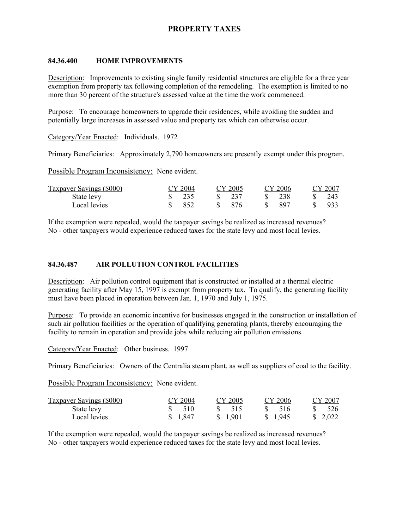### **84.36.400 HOME IMPROVEMENTS**

Description: Improvements to existing single family residential structures are eligible for a three year exemption from property tax following completion of the remodeling. The exemption is limited to no more than 30 percent of the structure's assessed value at the time the work commenced.

Purpose: To encourage homeowners to upgrade their residences, while avoiding the sudden and potentially large increases in assessed value and property tax which can otherwise occur.

Category/Year Enacted: Individuals. 1972

Primary Beneficiaries: Approximately 2,790 homeowners are presently exempt under this program.

Possible Program Inconsistency: None evident.

| <b>Taxpayer Savings (\$000)</b> | CY 2004          | CY 2005                         |             | CY 2006 | CY 2007 |
|---------------------------------|------------------|---------------------------------|-------------|---------|---------|
| State levy                      | $\frac{\$}{235}$ | $\frac{\text{S}}{\text{S}}$ 237 | $S_{\perp}$ | - 238   | -243    |
| Local levies                    | 852              | - 876                           |             | -897    | 933     |

If the exemption were repealed, would the taxpayer savings be realized as increased revenues? No - other taxpayers would experience reduced taxes for the state levy and most local levies.

#### **84.36.487 AIR POLLUTION CONTROL FACILITIES**

Description: Air pollution control equipment that is constructed or installed at a thermal electric generating facility after May 15, 1997 is exempt from property tax. To qualify, the generating facility must have been placed in operation between Jan. 1, 1970 and July 1, 1975.

Purpose: To provide an economic incentive for businesses engaged in the construction or installation of such air pollution facilities or the operation of qualifying generating plants, thereby encouraging the facility to remain in operation and provide jobs while reducing air pollution emissions.

Category/Year Enacted: Other business. 1997

Primary Beneficiaries: Owners of the Centralia steam plant, as well as suppliers of coal to the facility.

Possible Program Inconsistency: None evident.

| <b>Taxpayer Savings (\$000)</b> | CY 2004  | CY 2005           | CY 2006  | CY 2007  |
|---------------------------------|----------|-------------------|----------|----------|
| State levy                      | \$510    | $\frac{1}{2}$ 515 | \$ 516   | 526      |
| Local levies                    | \$ 1.847 | \$ 1.901          | \$ 1.945 | \$ 2.022 |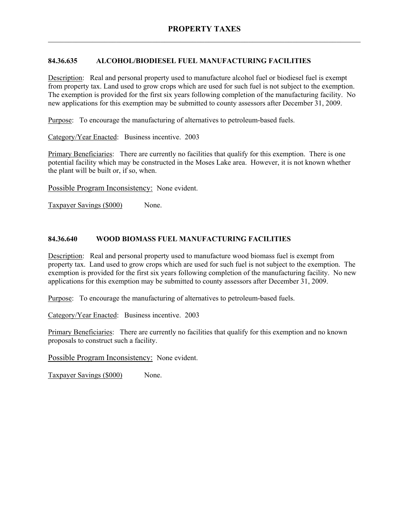# **84.36.635 ALCOHOL/BIODIESEL FUEL MANUFACTURING FACILITIES**

Description: Real and personal property used to manufacture alcohol fuel or biodiesel fuel is exempt from property tax. Land used to grow crops which are used for such fuel is not subject to the exemption. The exemption is provided for the first six years following completion of the manufacturing facility. No new applications for this exemption may be submitted to county assessors after December 31, 2009.

Purpose: To encourage the manufacturing of alternatives to petroleum-based fuels.

Category/Year Enacted: Business incentive. 2003

Primary Beneficiaries: There are currently no facilities that qualify for this exemption. There is one potential facility which may be constructed in the Moses Lake area. However, it is not known whether the plant will be built or, if so, when.

Possible Program Inconsistency: None evident.

Taxpayer Savings (\$000) None.

# **84.36.640 WOOD BIOMASS FUEL MANUFACTURING FACILITIES**

Description: Real and personal property used to manufacture wood biomass fuel is exempt from property tax. Land used to grow crops which are used for such fuel is not subject to the exemption. The exemption is provided for the first six years following completion of the manufacturing facility. No new applications for this exemption may be submitted to county assessors after December 31, 2009.

Purpose: To encourage the manufacturing of alternatives to petroleum-based fuels.

Category/Year Enacted: Business incentive. 2003

Primary Beneficiaries: There are currently no facilities that qualify for this exemption and no known proposals to construct such a facility.

Possible Program Inconsistency: None evident.

Taxpayer Savings (\$000) None.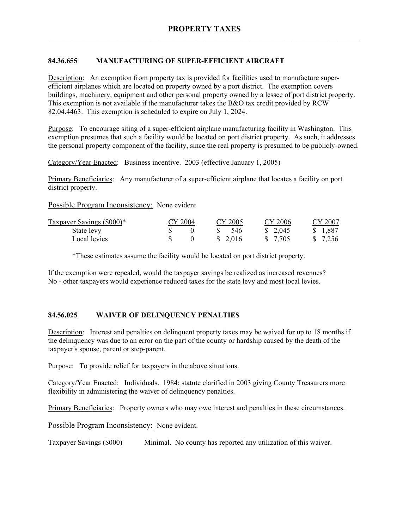## **84.36.655 MANUFACTURING OF SUPER-EFFICIENT AIRCRAFT**

Description: An exemption from property tax is provided for facilities used to manufacture superefficient airplanes which are located on property owned by a port district. The exemption covers buildings, machinery, equipment and other personal property owned by a lessee of port district property. This exemption is not available if the manufacturer takes the B&O tax credit provided by RCW 82.04.4463. This exemption is scheduled to expire on July 1, 2024.

Purpose: To encourage siting of a super-efficient airplane manufacturing facility in Washington. This exemption presumes that such a facility would be located on port district property. As such, it addresses the personal property component of the facility, since the real property is presumed to be publicly-owned.

Category/Year Enacted: Business incentive. 2003 (effective January 1, 2005)

Primary Beneficiaries: Any manufacturer of a super-efficient airplane that locates a facility on port district property.

Possible Program Inconsistency: None evident.

| Taxpayer Savings (\$000)* | CY 2004 |   | CY 2005  | CY 2006  | CY 2007  |
|---------------------------|---------|---|----------|----------|----------|
| State levy                |         | S | -546     | \$ 2.045 | \$ 1,887 |
| Local levies              |         |   | \$ 2.016 | \$ 7.705 | \$ 7,256 |

\*These estimates assume the facility would be located on port district property.

If the exemption were repealed, would the taxpayer savings be realized as increased revenues? No - other taxpayers would experience reduced taxes for the state levy and most local levies.

#### **84.56.025 WAIVER OF DELINQUENCY PENALTIES**

Description: Interest and penalties on delinquent property taxes may be waived for up to 18 months if the delinquency was due to an error on the part of the county or hardship caused by the death of the taxpayer's spouse, parent or step-parent.

Purpose: To provide relief for taxpayers in the above situations.

Category/Year Enacted: Individuals. 1984; statute clarified in 2003 giving County Treasurers more flexibility in administering the waiver of delinquency penalties.

Primary Beneficiaries: Property owners who may owe interest and penalties in these circumstances.

Possible Program Inconsistency: None evident.

Taxpayer Savings (\$000) Minimal. No county has reported any utilization of this waiver.